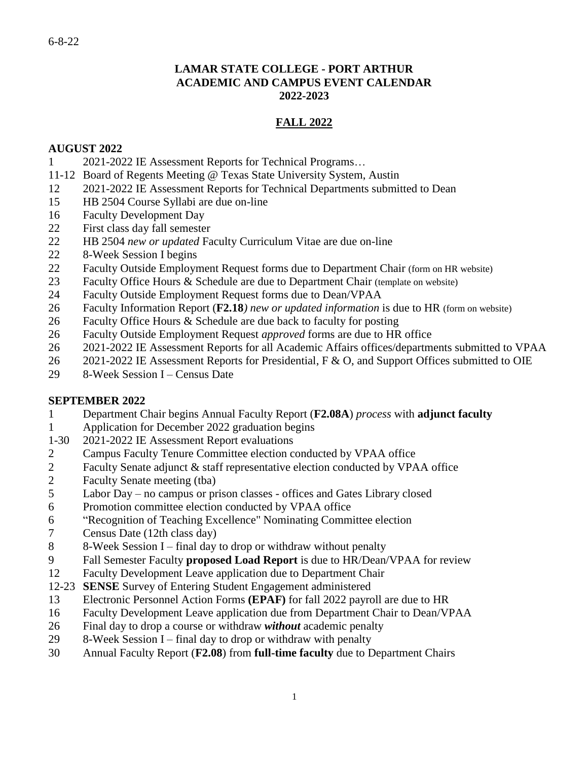### **LAMAR STATE COLLEGE - PORT ARTHUR ACADEMIC AND CAMPUS EVENT CALENDAR 2022-2023**

## **FALL 2022**

### **AUGUST 2022**

- 2021-2022 IE Assessment Reports for Technical Programs…
- 11-12 Board of Regents Meeting @ Texas State University System, Austin
- 2021-2022 IE Assessment Reports for Technical Departments submitted to Dean
- HB 2504 Course Syllabi are due on-line
- Faculty Development Day
- First class day fall semester
- HB 2504 *new or updated* Faculty Curriculum Vitae are due on-line
- 8-Week Session I begins
- Faculty Outside Employment Request forms due to Department Chair (form on HR website)
- Faculty Office Hours & Schedule are due to Department Chair (template on website)
- Faculty Outside Employment Request forms due to Dean/VPAA
- Faculty Information Report (**F2.18***) new or updated information* is due to HR (form on website)
- Faculty Office Hours & Schedule are due back to faculty for posting
- Faculty Outside Employment Request *approved* forms are due to HR office
- 2021-2022 IE Assessment Reports for all Academic Affairs offices/departments submitted to VPAA
- 26 2021-2022 IE Assessment Reports for Presidential, F & O, and Support Offices submitted to OIE
- 8-Week Session I Census Date

### **SEPTEMBER 2022**

- Department Chair begins Annual Faculty Report (**F2.08A**) *process* with **adjunct faculty**
- Application for December 2022 graduation begins
- 1-30 2021-2022 IE Assessment Report evaluations
- Campus Faculty Tenure Committee election conducted by VPAA office
- Faculty Senate adjunct & staff representative election conducted by VPAA office
- Faculty Senate meeting (tba)
- Labor Day no campus or prison classes offices and Gates Library closed
- Promotion committee election conducted by VPAA office
- "Recognition of Teaching Excellence" Nominating Committee election
- Census Date (12th class day)
- 8-Week Session I final day to drop or withdraw without penalty
- Fall Semester Faculty **proposed Load Report** is due to HR/Dean/VPAA for review
- Faculty Development Leave application due to Department Chair
- 12-23 **SENSE** Survey of Entering Student Engagement administered
- Electronic Personnel Action Forms **(EPAF)** for fall 2022 payroll are due to HR
- Faculty Development Leave application due from Department Chair to Dean/VPAA
- Final day to drop a course or withdraw *without* academic penalty
- 8-Week Session I final day to drop or withdraw with penalty
- Annual Faculty Report (**F2.08**) from **full-time faculty** due to Department Chairs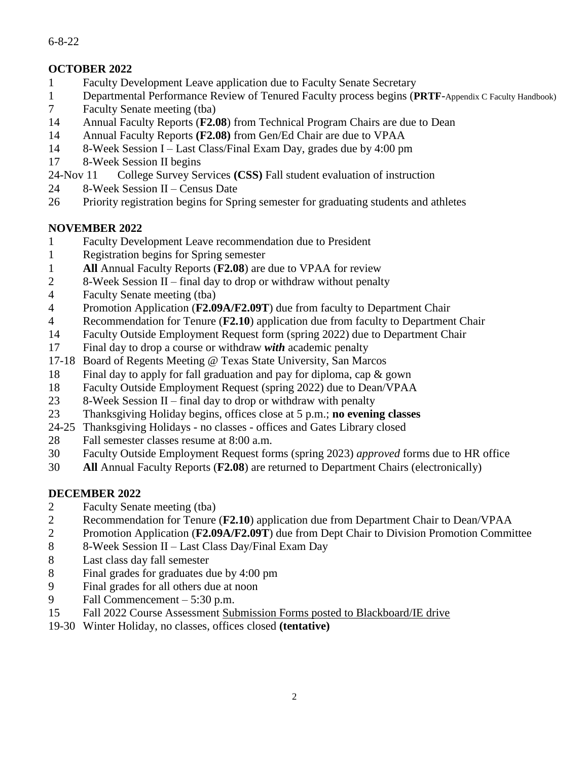## 6-8-22

# **OCTOBER 2022**

- Faculty Development Leave application due to Faculty Senate Secretary
- Departmental Performance Review of Tenured Faculty process begins (**PRTF**-Appendix C Faculty Handbook)
- Faculty Senate meeting (tba)
- Annual Faculty Reports (**F2.08**) from Technical Program Chairs are due to Dean
- Annual Faculty Reports **(F2.08)** from Gen/Ed Chair are due to VPAA
- 8-Week Session I Last Class/Final Exam Day, grades due by 4:00 pm
- 8-Week Session II begins
- 24-Nov 11 College Survey Services **(CSS)** Fall student evaluation of instruction
- 8-Week Session II Census Date
- Priority registration begins for Spring semester for graduating students and athletes

# **NOVEMBER 2022**

- Faculty Development Leave recommendation due to President
- Registration begins for Spring semester
- **All** Annual Faculty Reports (**F2.08**) are due to VPAA for review
- 8-Week Session II final day to drop or withdraw without penalty
- Faculty Senate meeting (tba)
- Promotion Application (**F2.09A/F2.09T**) due from faculty to Department Chair
- Recommendation for Tenure (**F2.10**) application due from faculty to Department Chair
- Faculty Outside Employment Request form (spring 2022) due to Department Chair
- Final day to drop a course or withdraw *with* academic penalty
- 17-18 Board of Regents Meeting @ Texas State University, San Marcos
- Final day to apply for fall graduation and pay for diploma, cap & gown
- Faculty Outside Employment Request (spring 2022) due to Dean/VPAA
- 8-Week Session II final day to drop or withdraw with penalty
- Thanksgiving Holiday begins, offices close at 5 p.m.; **no evening classes**
- 24-25 Thanksgiving Holidays no classes offices and Gates Library closed
- Fall semester classes resume at 8:00 a.m.
- Faculty Outside Employment Request forms (spring 2023) *approved* forms due to HR office
- **All** Annual Faculty Reports (**F2.08**) are returned to Department Chairs (electronically)

# **DECEMBER 2022**

- Faculty Senate meeting (tba)
- Recommendation for Tenure (**F2.10**) application due from Department Chair to Dean/VPAA
- Promotion Application (**F2.09A/F2.09T**) due from Dept Chair to Division Promotion Committee
- 8-Week Session II Last Class Day/Final Exam Day
- Last class day fall semester
- Final grades for graduates due by 4:00 pm
- Final grades for all others due at noon
- Fall Commencement 5:30 p.m.
- Fall 2022 Course Assessment Submission Forms posted to Blackboard/IE drive
- 19-30 Winter Holiday, no classes, offices closed **(tentative)**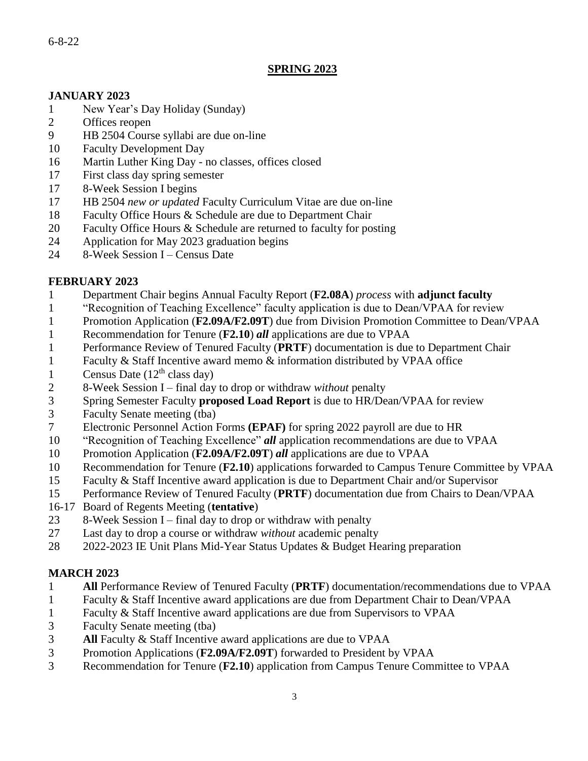### 6-8-22

## **SPRING 2023**

### **JANUARY 2023**

- New Year's Day Holiday (Sunday)
- Offices reopen
- HB 2504 Course syllabi are due on-line
- Faculty Development Day
- Martin Luther King Day no classes, offices closed
- First class day spring semester
- 8-Week Session I begins
- HB 2504 *new or updated* Faculty Curriculum Vitae are due on-line
- Faculty Office Hours & Schedule are due to Department Chair
- Faculty Office Hours & Schedule are returned to faculty for posting
- Application for May 2023 graduation begins
- 8-Week Session I Census Date

### **FEBRUARY 2023**

- Department Chair begins Annual Faculty Report (**F2.08A**) *process* with **adjunct faculty**
- "Recognition of Teaching Excellence" faculty application is due to Dean/VPAA for review
- Promotion Application (**F2.09A/F2.09T**) due from Division Promotion Committee to Dean/VPAA
- Recommendation for Tenure (**F2.10**) *all* applications are due to VPAA
- Performance Review of Tenured Faculty (**PRTF**) documentation is due to Department Chair
- Faculty & Staff Incentive award memo & information distributed by VPAA office
- 1 Census Date  $(12<sup>th</sup>$  class day)
- 8-Week Session I final day to drop or withdraw *without* penalty
- Spring Semester Faculty **proposed Load Report** is due to HR/Dean/VPAA for review
- Faculty Senate meeting (tba)
- Electronic Personnel Action Forms **(EPAF)** for spring 2022 payroll are due to HR
- "Recognition of Teaching Excellence" *all* application recommendations are due to VPAA
- Promotion Application (**F2.09A/F2.09T**) *all* applications are due to VPAA
- Recommendation for Tenure (**F2.10**) applications forwarded to Campus Tenure Committee by VPAA
- Faculty & Staff Incentive award application is due to Department Chair and/or Supervisor
- Performance Review of Tenured Faculty (**PRTF**) documentation due from Chairs to Dean/VPAA
- 16-17 Board of Regents Meeting (**tentative**)
- 8-Week Session I final day to drop or withdraw with penalty
- Last day to drop a course or withdraw *without* academic penalty
- 2022-2023 IE Unit Plans Mid-Year Status Updates & Budget Hearing preparation

## **MARCH 2023**

- **All** Performance Review of Tenured Faculty (**PRTF**) documentation/recommendations due to VPAA
- Faculty & Staff Incentive award applications are due from Department Chair to Dean/VPAA
- Faculty & Staff Incentive award applications are due from Supervisors to VPAA
- Faculty Senate meeting (tba)
- **All** Faculty & Staff Incentive award applications are due to VPAA
- Promotion Applications (**F2.09A/F2.09T**) forwarded to President by VPAA
- Recommendation for Tenure (**F2.10**) application from Campus Tenure Committee to VPAA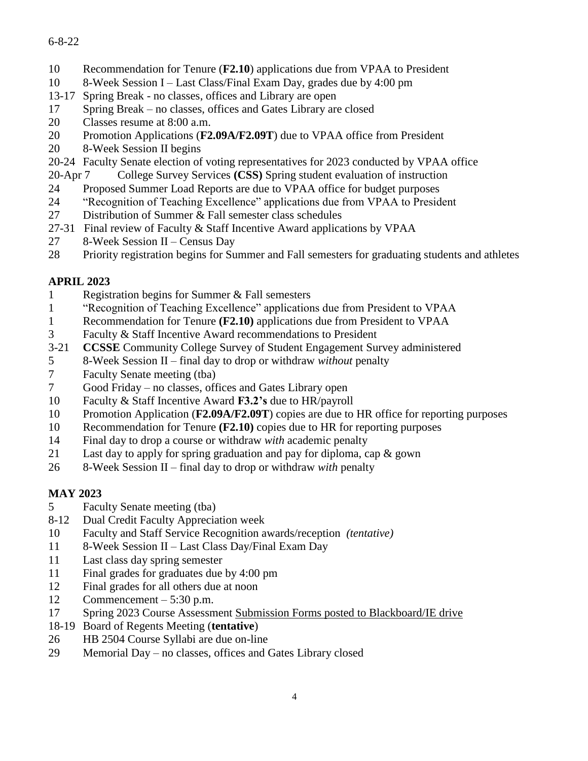## 6-8-22

- Recommendation for Tenure (**F2.10**) applications due from VPAA to President
- 8-Week Session I Last Class/Final Exam Day, grades due by 4:00 pm
- 13-17 Spring Break no classes, offices and Library are open
- Spring Break no classes, offices and Gates Library are closed
- Classes resume at 8:00 a.m.
- Promotion Applications (**F2.09A/F2.09T**) due to VPAA office from President
- 8-Week Session II begins
- 20-24 Faculty Senate election of voting representatives for 2023 conducted by VPAA office
- 20-Apr 7 College Survey Services **(CSS)** Spring student evaluation of instruction
- Proposed Summer Load Reports are due to VPAA office for budget purposes
- "Recognition of Teaching Excellence" applications due from VPAA to President
- Distribution of Summer & Fall semester class schedules
- 27-31 Final review of Faculty & Staff Incentive Award applications by VPAA
- 8-Week Session II Census Day
- Priority registration begins for Summer and Fall semesters for graduating students and athletes

# **APRIL 2023**

- Registration begins for Summer & Fall semesters
- "Recognition of Teaching Excellence" applications due from President to VPAA
- Recommendation for Tenure **(F2.10)** applications due from President to VPAA
- Faculty & Staff Incentive Award recommendations to President
- 3-21 **CCSSE** Community College Survey of Student Engagement Survey administered
- 8-Week Session II final day to drop or withdraw *without* penalty
- Faculty Senate meeting (tba)
- Good Friday no classes, offices and Gates Library open
- Faculty & Staff Incentive Award **F3.2's** due to HR/payroll
- Promotion Application (**F2.09A/F2.09T**) copies are due to HR office for reporting purposes
- Recommendation for Tenure **(F2.10)** copies due to HR for reporting purposes
- Final day to drop a course or withdraw *with* academic penalty
- Last day to apply for spring graduation and pay for diploma, cap & gown
- 8-Week Session II final day to drop or withdraw *with* penalty

# **MAY 2023**

- Faculty Senate meeting (tba)
- 8-12 Dual Credit Faculty Appreciation week
- Faculty and Staff Service Recognition awards/reception *(tentative)*
- 8-Week Session II Last Class Day/Final Exam Day
- Last class day spring semester
- Final grades for graduates due by 4:00 pm
- Final grades for all others due at noon
- Commencement 5:30 p.m.
- Spring 2023 Course Assessment Submission Forms posted to Blackboard/IE drive
- 18-19 Board of Regents Meeting (**tentative**)
- HB 2504 Course Syllabi are due on-line
- Memorial Day no classes, offices and Gates Library closed